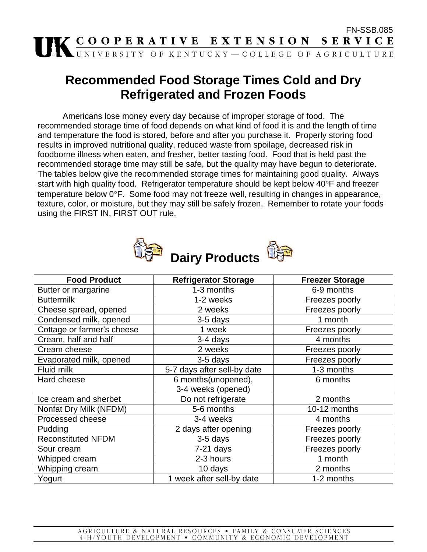

## **Recommended Food Storage Times Cold and Dry Refrigerated and Frozen Foods**

Americans lose money every day because of improper storage of food. The recommended storage time of food depends on what kind of food it is and the length of time and temperature the food is stored, before and after you purchase it. Properly storing food results in improved nutritional quality, reduced waste from spoilage, decreased risk in foodborne illness when eaten, and fresher, better tasting food. Food that is held past the recommended storage time may still be safe, but the quality may have begun to deteriorate. The tables below give the recommended storage times for maintaining good quality. Always start with high quality food. Refrigerator temperature should be kept below 40°F and freezer temperature below 0°F. Some food may not freeze well, resulting in changes in appearance, texture, color, or moisture, but they may still be safely frozen. Remember to rotate your foods using the FIRST IN, FIRST OUT rule.



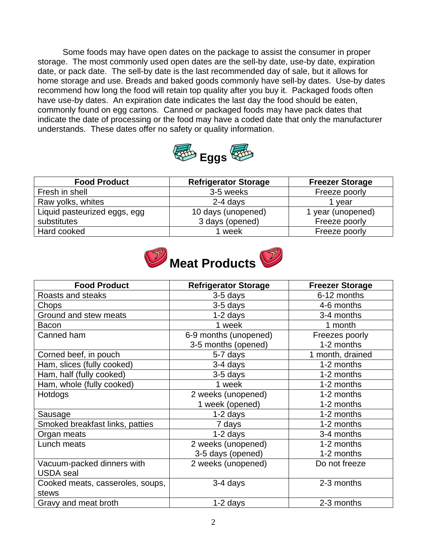Some foods may have open dates on the package to assist the consumer in proper storage. The most commonly used open dates are the sell-by date, use-by date, expiration date, or pack date. The sell-by date is the last recommended day of sale, but it allows for home storage and use. Breads and baked goods commonly have sell-by dates. Use-by dates recommend how long the food will retain top quality after you buy it. Packaged foods often have use-by dates. An expiration date indicates the last day the food should be eaten, commonly found on egg cartons. Canned or packaged foods may have pack dates that indicate the date of processing or the food may have a coded date that only the manufacturer understands. These dates offer no safety or quality information.



| <b>Food Product</b>          | <b>Refrigerator Storage</b> | <b>Freezer Storage</b> |
|------------------------------|-----------------------------|------------------------|
| Fresh in shell               | 3-5 weeks                   | Freeze poorly          |
| Raw yolks, whites            | $2-4$ days                  | 1 vear                 |
| Liquid pasteurized eggs, egg | 10 days (unopened)          | 1 year (unopened)      |
| substitutes                  | 3 days (opened)             | Freeze poorly          |
| Hard cooked                  | 1 week                      | Freeze poorly          |



| <b>Food Product</b>              | <b>Refrigerator Storage</b> | <b>Freezer Storage</b> |
|----------------------------------|-----------------------------|------------------------|
| Roasts and steaks                | 3-5 days                    | 6-12 months            |
| Chops                            | 3-5 days                    | 4-6 months             |
| Ground and stew meats            | $1-2$ days                  | 3-4 months             |
| <b>Bacon</b>                     | 1 week                      | 1 month                |
| Canned ham                       | 6-9 months (unopened)       | Freezes poorly         |
|                                  | 3-5 months (opened)         | 1-2 months             |
| Corned beef, in pouch            | 5-7 days                    | 1 month, drained       |
| Ham, slices (fully cooked)       | 3-4 days                    | 1-2 months             |
| Ham, half (fully cooked)         | 3-5 days                    | 1-2 months             |
| Ham, whole (fully cooked)        | 1 week                      | 1-2 months             |
| Hotdogs                          | 2 weeks (unopened)          | 1-2 months             |
|                                  | 1 week (opened)             | 1-2 months             |
| Sausage                          | $1-2$ days                  | 1-2 months             |
| Smoked breakfast links, patties  | 7 days                      | 1-2 months             |
| Organ meats                      | $1-2$ days                  | 3-4 months             |
| Lunch meats                      | 2 weeks (unopened)          | 1-2 months             |
|                                  | 3-5 days (opened)           | 1-2 months             |
| Vacuum-packed dinners with       | 2 weeks (unopened)          | Do not freeze          |
| <b>USDA</b> seal                 |                             |                        |
| Cooked meats, casseroles, soups, | 3-4 days                    | 2-3 months             |
| stews                            |                             |                        |
| Gravy and meat broth             | 1-2 days                    | 2-3 months             |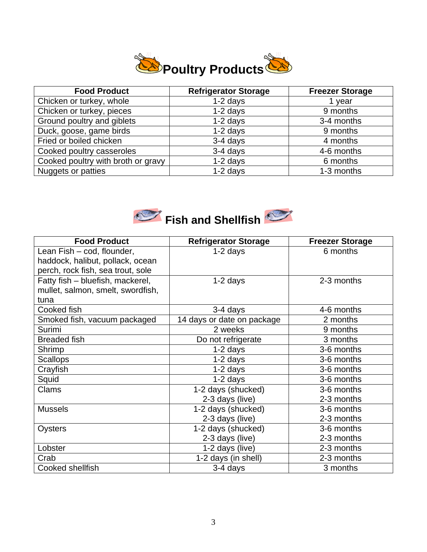

| <b>Food Product</b>                | <b>Refrigerator Storage</b> | <b>Freezer Storage</b> |
|------------------------------------|-----------------------------|------------------------|
| Chicken or turkey, whole           | $1-2$ days                  | 1 year                 |
| Chicken or turkey, pieces          | $1-2$ days                  | 9 months               |
| Ground poultry and giblets         | $1-2$ days                  | 3-4 months             |
| Duck, goose, game birds            | $1-2$ days                  | 9 months               |
| Fried or boiled chicken            | 3-4 days                    | 4 months               |
| Cooked poultry casseroles          | 3-4 days                    | 4-6 months             |
| Cooked poultry with broth or gravy | $1-2$ days                  | 6 months               |
| Nuggets or patties                 | $1-2$ days                  | 1-3 months             |



| <b>Food Product</b>               | <b>Refrigerator Storage</b> | <b>Freezer Storage</b> |
|-----------------------------------|-----------------------------|------------------------|
| Lean Fish - cod, flounder,        | $1-2$ days                  | 6 months               |
| haddock, halibut, pollack, ocean  |                             |                        |
| perch, rock fish, sea trout, sole |                             |                        |
| Fatty fish - bluefish, mackerel,  | $1-2$ days                  | 2-3 months             |
| mullet, salmon, smelt, swordfish, |                             |                        |
| tuna                              |                             |                        |
| Cooked fish                       | 3-4 days                    | 4-6 months             |
| Smoked fish, vacuum packaged      | 14 days or date on package  | 2 months               |
| Surimi                            | 2 weeks                     | 9 months               |
| <b>Breaded fish</b>               | Do not refrigerate          | 3 months               |
| Shrimp                            | $1-2$ days                  | 3-6 months             |
| <b>Scallops</b>                   | $1-2$ days                  | 3-6 months             |
| Crayfish                          | $1-2$ days                  | 3-6 months             |
| Squid                             | $1-2$ days                  | 3-6 months             |
| Clams                             | $1-2$ days (shucked)        | 3-6 months             |
|                                   | 2-3 days (live)             | 2-3 months             |
| <b>Mussels</b>                    | 1-2 days (shucked)          | 3-6 months             |
|                                   | 2-3 days (live)             | 2-3 months             |
| Oysters                           | 1-2 days (shucked)          | 3-6 months             |
|                                   | 2-3 days (live)             | 2-3 months             |
| Lobster                           | 1-2 days (live)             | 2-3 months             |
| Crab                              | 1-2 days (in shell)         | 2-3 months             |
| Cooked shellfish                  | 3-4 days                    | 3 months               |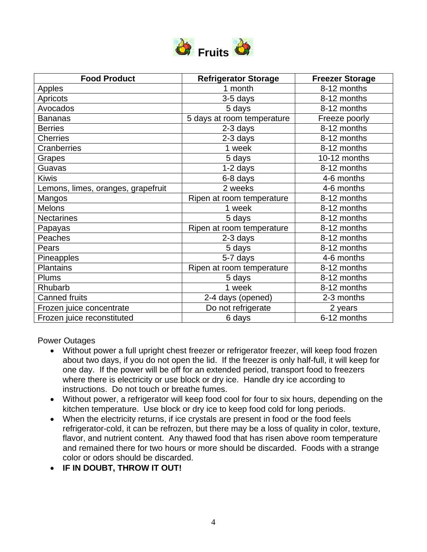

| <b>Food Product</b>                | <b>Refrigerator Storage</b> | <b>Freezer Storage</b> |
|------------------------------------|-----------------------------|------------------------|
| Apples                             | 1 month                     | 8-12 months            |
| Apricots                           | 3-5 days                    | 8-12 months            |
| Avocados                           | 5 days                      | 8-12 months            |
| <b>Bananas</b>                     | 5 days at room temperature  | Freeze poorly          |
| <b>Berries</b>                     | 2-3 days                    | 8-12 months            |
| <b>Cherries</b>                    | 2-3 days                    | 8-12 months            |
| Cranberries                        | 1 week                      | 8-12 months            |
| Grapes                             | 5 days                      | 10-12 months           |
| Guavas                             | 1-2 days                    | 8-12 months            |
| <b>Kiwis</b>                       | 6-8 days                    | 4-6 months             |
| Lemons, limes, oranges, grapefruit | 2 weeks                     | 4-6 months             |
| Mangos                             | Ripen at room temperature   | 8-12 months            |
| <b>Melons</b>                      | 1 week                      | 8-12 months            |
| <b>Nectarines</b>                  | 5 days                      | 8-12 months            |
| Papayas                            | Ripen at room temperature   | 8-12 months            |
| Peaches                            | 2-3 days                    | 8-12 months            |
| Pears                              | 5 days                      | 8-12 months            |
| Pineapples                         | 5-7 days                    | 4-6 months             |
| <b>Plantains</b>                   | Ripen at room temperature   | 8-12 months            |
| <b>Plums</b>                       | 5 days                      | 8-12 months            |
| Rhubarb                            | 1 week                      | 8-12 months            |
| <b>Canned fruits</b>               | 2-4 days (opened)           | 2-3 months             |
| Frozen juice concentrate           | Do not refrigerate          | 2 years                |
| Frozen juice reconstituted         | 6 days                      | 6-12 months            |

Power Outages

- Without power a full upright chest freezer or refrigerator freezer, will keep food frozen about two days, if you do not open the lid. If the freezer is only half-full, it will keep for one day. If the power will be off for an extended period, transport food to freezers where there is electricity or use block or dry ice. Handle dry ice according to instructions. Do not touch or breathe fumes.
- Without power, a refrigerator will keep food cool for four to six hours, depending on the kitchen temperature. Use block or dry ice to keep food cold for long periods.
- When the electricity returns, if ice crystals are present in food or the food feels refrigerator-cold, it can be refrozen, but there may be a loss of quality in color, texture, flavor, and nutrient content. Any thawed food that has risen above room temperature and remained there for two hours or more should be discarded. Foods with a strange color or odors should be discarded.
- **IF IN DOUBT, THROW IT OUT!**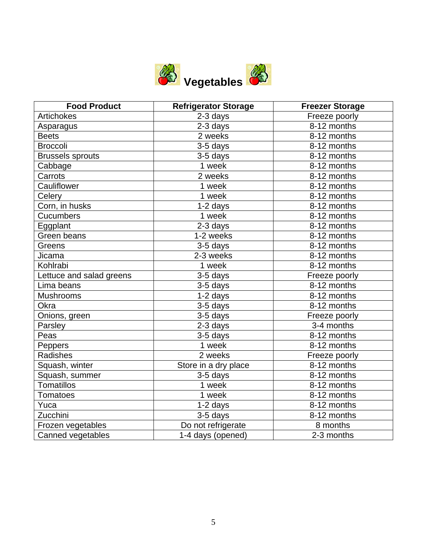

| <b>Food Product</b>      | <b>Refrigerator Storage</b> | <b>Freezer Storage</b>    |
|--------------------------|-----------------------------|---------------------------|
| Artichokes               | 2-3 days                    | Freeze poorly             |
| Asparagus                | 2-3 days                    | 8-12 months               |
| <b>Beets</b>             | 2 weeks                     | 8-12 months               |
| <b>Broccoli</b>          | $\overline{3}$ -5 days      | 8-12 months               |
| <b>Brussels sprouts</b>  | $3-5$ days                  | 8-12 months               |
| Cabbage                  | 1 week                      | 8-12 months               |
| Carrots                  | 2 weeks                     | 8-12 months               |
| Cauliflower              | 1 week                      | 8-12 months               |
| Celery                   | 1 week                      | 8-12 months               |
| Corn, in husks           | $1-2$ days                  | 8-12 months               |
| <b>Cucumbers</b>         | 1 week                      | 8-12 months               |
| Eggplant                 | 2-3 days                    | 8-12 months               |
| Green beans              | 1-2 weeks                   | 8-12 months               |
| Greens                   | 3-5 days                    | $\overline{8}$ -12 months |
| Jicama                   | 2-3 weeks                   | 8-12 months               |
| Kohlrabi                 | 1 week                      | 8-12 months               |
| Lettuce and salad greens | 3-5 days                    | Freeze poorly             |
| Lima beans               | 3-5 days                    | 8-12 months               |
| <b>Mushrooms</b>         | 1-2 days                    | 8-12 months               |
| Okra                     | 3-5 days                    | 8-12 months               |
| Onions, green            | 3-5 days                    | Freeze poorly             |
| Parsley                  | 2-3 days                    | 3-4 months                |
| Peas                     | $3-5$ days                  | 8-12 months               |
| Peppers                  | 1 week                      | 8-12 months               |
| Radishes                 | 2 weeks                     | Freeze poorly             |
| Squash, winter           | Store in a dry place        | 8-12 months               |
| Squash, summer           | 3-5 days                    | 8-12 months               |
| <b>Tomatillos</b>        | 1 week                      | 8-12 months               |
| <b>Tomatoes</b>          | 1 week                      | 8-12 months               |
| Yuca                     | $1-2$ days                  | 8-12 months               |
| Zucchini                 | 3-5 days                    | 8-12 months               |
| Frozen vegetables        | Do not refrigerate          | 8 months                  |
| Canned vegetables        | 1-4 days (opened)           | 2-3 months                |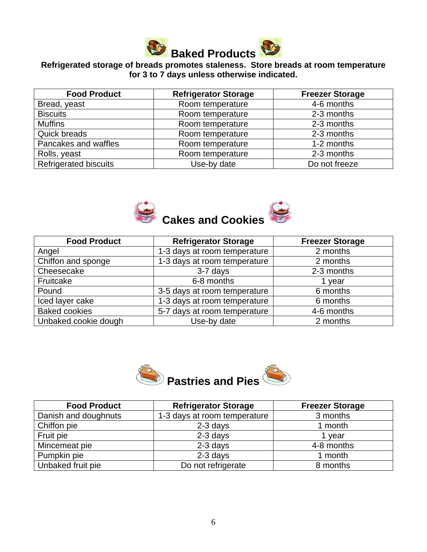

## **Refrigerated storage of breads promotes staleness. Store breads at room temperature for 3 to 7 days unless otherwise indicated.**

| <b>Food Product</b>          | <b>Refrigerator Storage</b> | <b>Freezer Storage</b> |
|------------------------------|-----------------------------|------------------------|
| Bread, yeast                 | Room temperature            | 4-6 months             |
| <b>Biscuits</b>              | Room temperature            | 2-3 months             |
| <b>Muffins</b>               | Room temperature            | 2-3 months             |
| Quick breads                 | Room temperature            | 2-3 months             |
| Pancakes and waffles         | Room temperature            | 1-2 months             |
| Rolls, yeast                 | Room temperature            | 2-3 months             |
| <b>Refrigerated biscuits</b> | Use-by date                 | Do not freeze          |



| <b>Food Product</b>  | <b>Refrigerator Storage</b>  | <b>Freezer Storage</b> |
|----------------------|------------------------------|------------------------|
| Angel                | 1-3 days at room temperature | 2 months               |
| Chiffon and sponge   | 1-3 days at room temperature | 2 months               |
| Cheesecake           | 3-7 days                     | 2-3 months             |
| Fruitcake            | 6-8 months                   | 1 year                 |
| Pound                | 3-5 days at room temperature | 6 months               |
| Iced layer cake      | 1-3 days at room temperature | 6 months               |
| <b>Baked cookies</b> | 5-7 days at room temperature | 4-6 months             |
| Unbaked cookie dough | Use-by date                  | 2 months               |



| <b>Food Product</b>  | <b>Refrigerator Storage</b>  | <b>Freezer Storage</b> |
|----------------------|------------------------------|------------------------|
| Danish and doughnuts | 1-3 days at room temperature | 3 months               |
| Chiffon pie          | $2-3$ days                   | 1 month                |
| Fruit pie            | $2-3$ days                   | vear                   |
| Mincemeat pie        | $2-3$ days                   | 4-8 months             |
| Pumpkin pie          | $2-3$ days                   | 1 month                |
| Unbaked fruit pie    | Do not refrigerate           | 8 months               |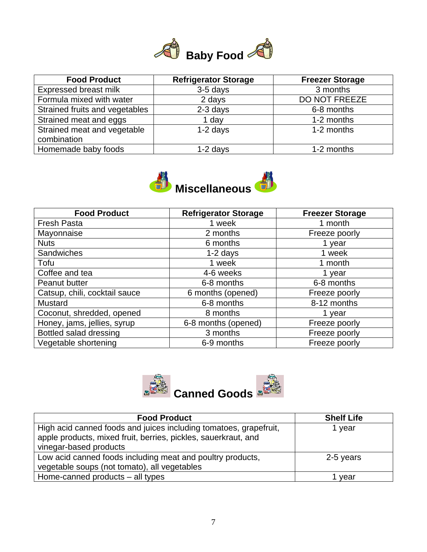

| <b>Food Product</b>                        | <b>Refrigerator Storage</b> | <b>Freezer Storage</b> |
|--------------------------------------------|-----------------------------|------------------------|
| Expressed breast milk                      | 3-5 days                    | 3 months               |
| Formula mixed with water                   | 2 days                      | DO NOT FREEZE          |
| Strained fruits and vegetables             | 2-3 days                    | 6-8 months             |
| Strained meat and eggs                     | 1 day                       | 1-2 months             |
| Strained meat and vegetable<br>combination | 1-2 days                    | 1-2 months             |
| Homemade baby foods                        | $1-2$ days                  | 1-2 months             |



| <b>Food Product</b>           | Refrigerator Storage | <b>Freezer Storage</b> |
|-------------------------------|----------------------|------------------------|
| <b>Fresh Pasta</b>            | 1 week               | 1 month                |
| Mayonnaise                    | 2 months             | Freeze poorly          |
| <b>Nuts</b>                   | 6 months             | 1 year                 |
| Sandwiches                    | $1-2$ days           | 1 week                 |
| Tofu                          | 1 week               | 1 month                |
| Coffee and tea                | 4-6 weeks            | 1 year                 |
| Peanut butter                 | 6-8 months           | 6-8 months             |
| Catsup, chili, cocktail sauce | 6 months (opened)    | Freeze poorly          |
| Mustard                       | 6-8 months           | 8-12 months            |
| Coconut, shredded, opened     | 8 months             | 1 year                 |
| Honey, jams, jellies, syrup   | 6-8 months (opened)  | Freeze poorly          |
| Bottled salad dressing        | 3 months             | Freeze poorly          |
| Vegetable shortening          | 6-9 months           | Freeze poorly          |



| <b>Food Product</b>                                                                                                                 | <b>Shelf Life</b> |
|-------------------------------------------------------------------------------------------------------------------------------------|-------------------|
| High acid canned foods and juices including tomatoes, grapefruit,<br>apple products, mixed fruit, berries, pickles, sauerkraut, and | 1 year            |
| vinegar-based products                                                                                                              |                   |
| Low acid canned foods including meat and poultry products,                                                                          | 2-5 years         |
| vegetable soups (not tomato), all vegetables                                                                                        |                   |
| Home-canned products – all types                                                                                                    | vear              |